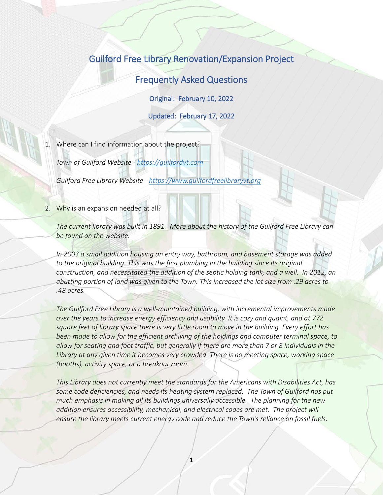# Guilford Free Library Renovation/Expansion Project

Frequently Asked Questions

Original: February 10, 2022

Updated: February 17, 2022

1. Where can I find information about the project?

*Town of Guilford Website - [https://guilfordvt.com](https://guilfordvt.com/)*

*Guilford Free Library Website - [https://www.guilfordfreelibraryvt.org](https://www.guilfordfreelibraryvt.org/)*

2. Why is an expansion needed at all?

*The current library was built in 1891. More about the history of the Guilford Free Library can be found on the website.*

*In 2003 a small addition housing an entry way, bathroom, and basement storage was added*  to the original building. This was the first plumbing in the building since its original *construction, and necessitated the addition of the septic holding tank, and a well. In 2012, an abutting portion of land was given to the Town. This increased the lot size from .29 acres to .48 acres.*

*The Guilford Free Library is a well-maintained building, with incremental improvements made over the years to increase energy efficiency and usability. It is cozy and quaint, and at 772 square feet of library space there is very little room to move in the building. Every effort has been made to allow for the efficient archiving of the holdings and computer terminal space, to allow for seating and foot traffic, but generally if there are more than 7 or 8 individuals in the Library at any given time it becomes very crowded. There is no meeting space, working space (booths), activity space, or a breakout room.*

*This Library does not currently meet the standards for the Americans with Disabilities Act, has some code deficiencies, and needs its heating system replaced. The Town of Guilford has put much emphasis in making all its buildings universally accessible. The planning for the new addition ensures accessibility, mechanical, and electrical codes are met. The project will ensure the library meets current energy code and reduce the Town's reliance on fossil fuels.*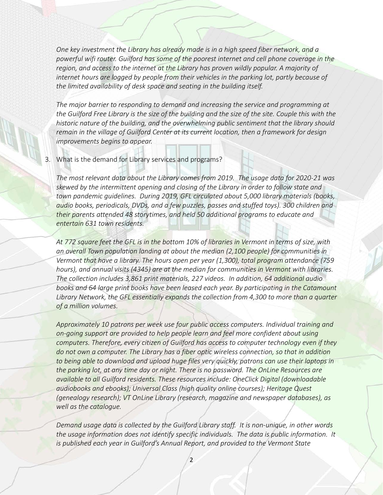*One key investment the Library has already made is in a high speed fiber network, and a powerful wifi router. Guilford has some of the poorest internet and cell phone coverage in the region, and access to the internet at the Library has proven wildly popular. A majority of internet hours are logged by people from their vehicles in the parking lot, partly because of the limited availability of desk space and seating in the building itself.*

*The major barrier to responding to demand and increasing the service and programming at the Guilford Free Library is the size of the building and the size of the site. Couple this with the historic nature of the building, and the overwhelming public sentiment that the library should remain in the village of Guilford Center at its current location, then a framework for design improvements begins to appear.*

## 3. What is the demand for Library services and programs?

*The most relevant data about the Library comes from 2019. The usage data for 2020-21 was skewed by the intermittent opening and closing of the Library in order to follow state and town pandemic guidelines. During 2019, GFL circulated about 5,000 library materials (books, audio books, periodicals, DVDs, and a few puzzles, passes and stuffed toys). 300 children and their parents attended 48 storytimes, and held 50 additional programs to educate and entertain 631 town residents.* 

*At 772 square feet the GFL is in the bottom 10% of libraries in Vermont in terms of size, with an overall Town population landing at about the median (2,100 people) for communities in Vermont that have a library. The hours open per year (1,300), total program attendance (759 hours), and annual visits (4345) are at the median for communities in Vermont with libraries. The collection includes 3,861 print materials, 227 videos. In addition, 64 additional audio books and 64 large print books have been leased each year. By participating in the Catamount Library Network, the GFL essentially expands the collection from 4,300 to more than a quarter of a million volumes.*

*Approximately 10 patrons per week use four public access computers. Individual training and on-going support are provided to help people learn and feel more confident about using computers. Therefore, every citizen of Guilford has access to computer technology even if they do not own a computer. The Library has a fiber optic wireless connection, so that in addition to being able to download and upload huge files very quickly, patrons can use their laptops in the parking lot, at any time day or night. There is no password. The OnLine Resources are available to all Guilford residents. These resources include: OneClick Digital (downloadable audiobooks and ebooks); Universal Class (high quality online courses); Heritage Quest (genealogy research); VT OnLine Library (research, magazine and newspaper databases), as well as the catalogue.*

*Demand usage data is collected by the Guilford Library staff. It is non-unique, in other words the usage information does not identify specific individuals. The data is public information. It is published each year in Guilford's Annual Report, and provided to the Vermont State*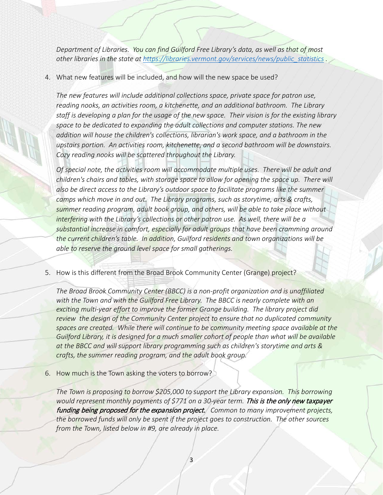*Department of Libraries. You can find Guilford Free Library's data, as well as that of most other libraries in the state at [https://libraries.vermont.gov/services/news/public\\_statistics](https://libraries.vermont.gov/services/news/public_statistics) .* 

4. What new features will be included, and how will the new space be used?

*The new features will include additional collections space, private space for patron use, reading nooks, an activities room, a kitchenette, and an additional bathroom. The Library staff is developing a plan for the usage of the new space. Their vision is for the existing library space to be dedicated to expanding the adult collections and computer stations. The new addition will house the children's collections, librarian's work space, and a bathroom in the upstairs portion. An activities room, kitchenette, and a second bathroom will be downstairs. Cozy reading nooks will be scattered throughout the Library.*

*Of special note, the activities room will accommodate multiple uses. There will be adult and children's chairs and tables, with storage space to allow for opening the space up. There will also be direct access to the Library's outdoor space to facilitate programs like the summer camps which move in and out. The Library programs, such as storytime, arts & crafts, summer reading program, adult book group, and others, will be able to take place without interfering with the Library's collections or other patron use. As well, there will be a substantial increase in comfort, especially for adult groups that have been cramming around the current children's table. In addition, Guilford residents and town organizations will be able to reserve the ground level space for small gatherings.*

5. How is this different from the Broad Brook Community Center (Grange) project?

*The Broad Brook Community Center (BBCC) is a non-profit organization and is unaffiliated with the Town and with the Guilford Free Library. The BBCC is nearly complete with an exciting multi-year effort to improve the former Grange building. The library project did review the design of the Community Center project to ensure that no duplicated community spaces are created. While there will continue to be community meeting space available at the Guilford Library, it is designed for a much smaller cohort of people than what will be available at the BBCC and will support library programming such as children's storytime and arts & crafts, the summer reading program, and the adult book group.*

6. How much is the Town asking the voters to borrow?

*The Town is proposing to borrow \$205,000 to support the Library expansion. This borrowing*  would represent monthly payments of \$771 on a 30-year term. This is the only new taxpayer funding being proposed for the expansion project. *Common to many improvement projects, the borrowed funds will only be spent if the project goes to construction. The other sources from the Town, listed below in #9, are already in place.*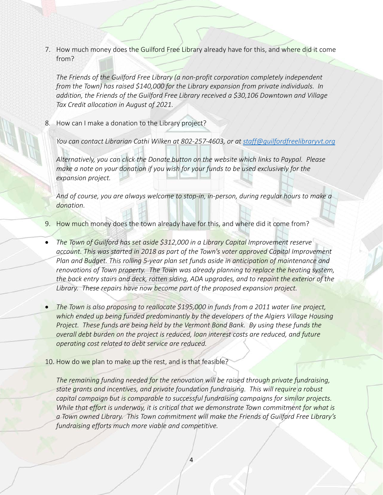7. How much money does the Guilford Free Library already have for this, and where did it come from?

*The Friends of the Guilford Free Library (a non-profit corporation completely independent from the Town) has raised \$140,000 for the Library expansion from private individuals. In addition, the Friends of the Guilford Free Library received a \$30,106 Downtown and Village Tax Credit allocation in August of 2021.*

8. How can I make a donation to the Library project?

*You can contact Librarian Cathi Wilken at 802-257-4603, or at [staff@guilfordfreelibraryvt.org](mailto:staff@guilfordfreelibraryvt.org)*

*Alternatively, you can click the Donate button on the website which links to Paypal. Please make a note on your donation if you wish for your funds to be used exclusively for the expansion project.*

*And of course, you are always welcome to stop-in, in-person, during regular hours to make a donation.*

- 9. How much money does the town already have for this, and where did it come from?
- *The Town of Guilford has set aside \$312,000 in a Library Capital Improvement reserve account. This was started in 2018 as part of the Town's voter approved Capital Improvement Plan and Budget. This rolling 5-year plan set funds aside in anticipation of maintenance and renovations of Town property. The Town was already planning to replace the heating system, the back entry stairs and deck, rotten siding, ADA upgrades, and to repaint the exterior of the Library. These repairs have now become part of the proposed expansion project.*
- The Town is also proposing to reallocate \$195,000 in funds from a 2011 water line project, *which ended up being funded predominantly by the developers of the Algiers Village Housing Project. These funds are being held by the Vermont Bond Bank. By using these funds the overall debt burden on the project is reduced, loan interest costs are reduced, and future operating cost related to debt service are reduced.*
- 10. How do we plan to make up the rest, and is that feasible?

*The remaining funding needed for the renovation will be raised through private fundraising, state grants and incentives, and private foundation fundraising. This will require a robust capital campaign but is comparable to successful fundraising campaigns for similar projects. While that effort is underway, it is critical that we demonstrate Town commitment for what is a Town owned Library. This Town commitment will make the Friends of Guilford Free Library's fundraising efforts much more viable and competitive.*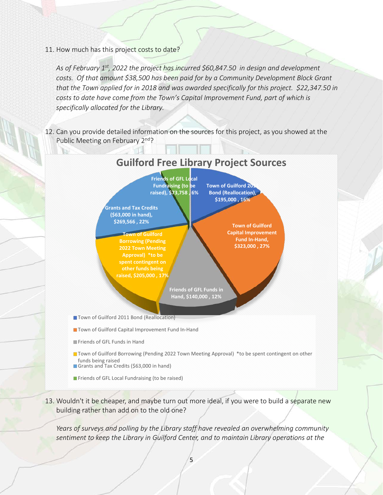11. How much has this project costs to date?

*As of February 1st, 2022 the project has incurred \$60,847.50 in design and development costs. Of that amount \$38,500 has been paid for by a Community Development Block Grant that the Town applied for in 2018 and was awarded specifically for this project. \$22,347.50 in costs to date have come from the Town's Capital Improvement Fund, part of which is specifically allocated for the Library.*

12. Can you provide detailed information on the sources for this project, as you showed at the Public Meeting on February 2<sup>nd</sup>?



- 
- **The Town of Guilford Borrowing (Pending 2022 Town Meeting Approval)** \*to be spent contingent on other funds being raised
- Grants and Tax Credits (\$63,000 in hand)
- **F** Friends of GFL Local Fundraising (to be raised)
- 13. Wouldn't it be cheaper, and maybe turn out more ideal, if you were to build a separate new building rather than add on to the old one?

*Years of surveys and polling by the Library staff have revealed an overwhelming community sentiment to keep the Library in Guilford Center, and to maintain Library operations at the*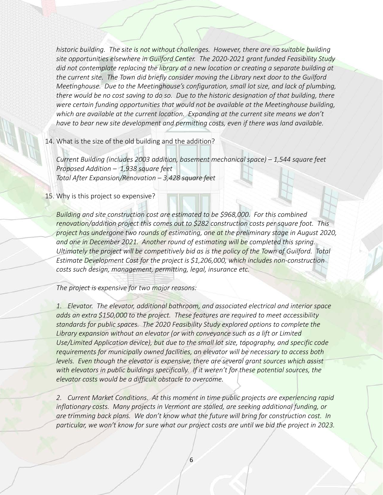*historic building. The site is not without challenges. However, there are no suitable building site opportunities elsewhere in Guilford Center. The 2020-2021 grant funded Feasibility Study did not contemplate replacing the library at a new location or creating a separate building at the current site. The Town did briefly consider moving the Library next door to the Guilford Meetinghouse. Due to the Meetinghouse's configuration, small lot size, and lack of plumbing, there would be no cost saving to do so. Due to the historic designation of that building, there were certain funding opportunities that would not be available at the Meetinghouse building, which are available at the current location. Expanding at the current site means we don't have to bear new site development and permitting costs, even if there was land available.*

### 14. What is the size of the old building and the addition?

*Current Building (includes 2003 addition, basement mechanical space) – 1,544 square feet Proposed Addition – 1,938 square feet Total After Expansion/Renovation – 3,428 square feet*

15. Why is this project so expensive?

*Building and site construction cost are estimated to be \$968,000. For this combined renovation/addition project this comes out to \$282 construction costs per square foot. This project has undergone two rounds of estimating, one at the preliminary stage in August 2020, and one in December 2021. Another round of estimating will be completed this spring. Ultimately the project will be competitively bid as is the policy of the Town of Guilford. Total Estimate Development Cost for the project is \$1,206,000, which includes non-construction costs such design, management, permitting, legal, insurance etc.*

*The project is expensive for two major reasons:*

*1. Elevator. The elevator, additional bathroom, and associated electrical and interior space adds an extra \$150,000 to the project. These features are required to meet accessibility standards for public spaces. The 2020 Feasibility Study explored options to complete the Library expansion without an elevator (or with conveyance such as a lift or Limited Use/Limited Application device), but due to the small lot size, topography, and specific code requirements for municipally owned facilities, an elevator will be necessary to access both levels. Even though the elevator is expensive, there are several grant sources which assist with elevators in public buildings specifically. If it weren't for these potential sources, the elevator costs would be a difficult obstacle to overcome.*

*2. Current Market Conditions. At this moment in time public projects are experiencing rapid inflationary costs. Many projects in Vermont are stalled, are seeking additional funding, or are trimming back plans. We don't know what the future will bring for construction cost. In particular, we won't know for sure what our project costs are until we bid the project in 2023.*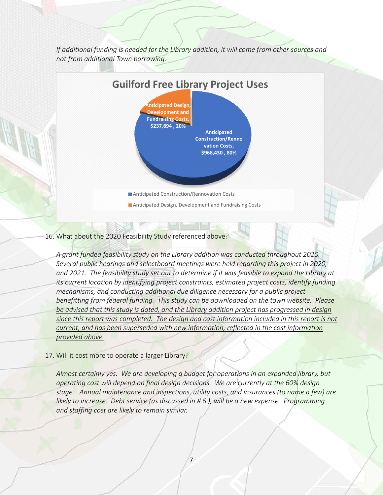*If additional funding is needed for the Library addition, it will come from other sources and not from additional Town borrowing.*



### 16. What about the 2020 Feasibility Study referenced above?

*A grant funded feasibility study on the Library addition was conducted throughout 2020. Several public hearings and selectboard meetings were held regarding this project in 2020,*  and 2021. The feasibility study set out to determine if it was feasible to expand the Library at *its current location by identifying project constraints, estimated project costs, identify funding mechanisms, and conducting additional due diligence necessary for a public project benefitting from federal funding. This study can be downloaded on the town website. Please be advised that this study is dated, and the Library addition project has progressed in design since this report was completed. The design and cost information included in this report is not current, and has been superseded with new information, reflected in the cost information provided above.*

#### 17. Will it cost more to operate a larger Library?

*Almost certainly yes. We are developing a budget for operations in an expanded library, but operating cost will depend on final design decisions. We are currently at the 60% design stage. Annual maintenance and inspections, utility costs, and insurances (to name a few) are likely to increase. Debt service (as discussed in # 6 ), will be a new expense. Programming and staffing cost are likely to remain similar.*